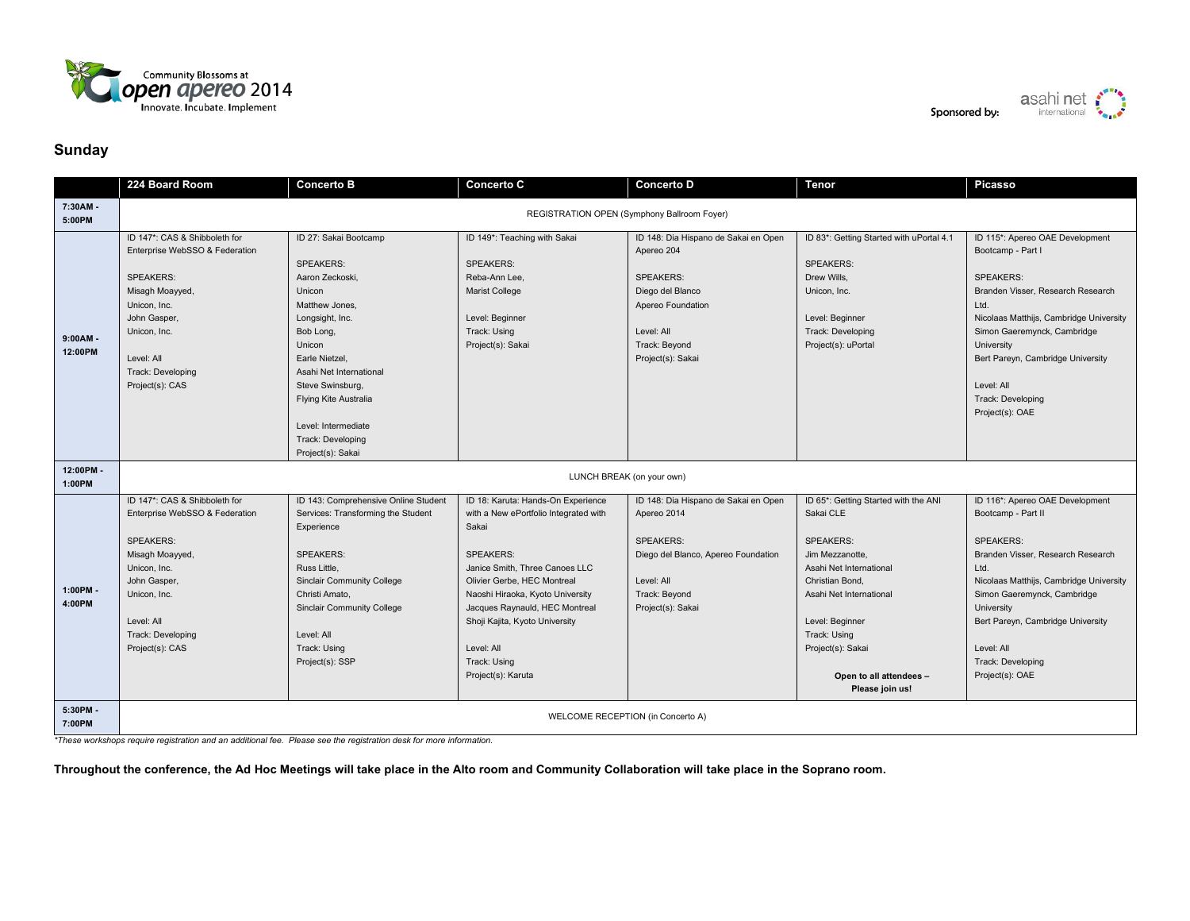

## **Sunday**

|                       | 224 Board Room                                                                                                                                                                                               | <b>Concerto B</b>                                                                                                                                                                                                                                                                             | <b>Concerto C</b>                                                                                                                                                                                                                                                                                                                     | <b>Concerto D</b>                                                                                                                                            | <b>Tenor</b>                                                                                                                                                                                                                                                            | <b>Picasso</b>                                                                                                                                                                                                                                                                                                   |
|-----------------------|--------------------------------------------------------------------------------------------------------------------------------------------------------------------------------------------------------------|-----------------------------------------------------------------------------------------------------------------------------------------------------------------------------------------------------------------------------------------------------------------------------------------------|---------------------------------------------------------------------------------------------------------------------------------------------------------------------------------------------------------------------------------------------------------------------------------------------------------------------------------------|--------------------------------------------------------------------------------------------------------------------------------------------------------------|-------------------------------------------------------------------------------------------------------------------------------------------------------------------------------------------------------------------------------------------------------------------------|------------------------------------------------------------------------------------------------------------------------------------------------------------------------------------------------------------------------------------------------------------------------------------------------------------------|
| $7:30AM -$<br>5:00PM  |                                                                                                                                                                                                              |                                                                                                                                                                                                                                                                                               |                                                                                                                                                                                                                                                                                                                                       | REGISTRATION OPEN (Symphony Ballroom Foyer)                                                                                                                  |                                                                                                                                                                                                                                                                         |                                                                                                                                                                                                                                                                                                                  |
| $9:00AM -$<br>12:00PM | ID 147*: CAS & Shibboleth for<br>Enterprise WebSSO & Federation<br><b>SPEAKERS:</b><br>Misagh Moayyed,<br>Unicon, Inc.<br>John Gasper,<br>Unicon, Inc.<br>Level: All<br>Track: Developing<br>Project(s): CAS | ID 27: Sakai Bootcamp<br><b>SPEAKERS:</b><br>Aaron Zeckoski.<br>Unicon<br>Matthew Jones,<br>Longsight, Inc.<br>Bob Long,<br>Unicon<br>Earle Nietzel,<br>Asahi Net International<br>Steve Swinsburg,<br>Flying Kite Australia<br>Level: Intermediate<br>Track: Developing<br>Project(s): Sakai | ID 149*: Teaching with Sakai<br>SPEAKERS:<br>Reba-Ann Lee,<br><b>Marist College</b><br>Level: Beginner<br>Track: Using<br>Project(s): Sakai                                                                                                                                                                                           | ID 148: Dia Hispano de Sakai en Open<br>Apereo 204<br>SPEAKERS:<br>Diego del Blanco<br>Apereo Foundation<br>Level: All<br>Track: Beyond<br>Project(s): Sakai | ID 83*: Getting Started with uPortal 4.1<br><b>SPEAKERS:</b><br>Drew Wills,<br>Unicon, Inc.<br>Level: Beginner<br>Track: Developing<br>Project(s): uPortal                                                                                                              | ID 115*: Apereo OAE Development<br>Bootcamp - Part I<br><b>SPEAKERS:</b><br>Branden Visser, Research Research<br>Ltd.<br>Nicolaas Matthijs, Cambridge University<br>Simon Gaeremynck, Cambridge<br><b>University</b><br>Bert Pareyn, Cambridge University<br>Level: All<br>Track: Developing<br>Project(s): OAE  |
| 12:00PM -<br>1:00PM   |                                                                                                                                                                                                              |                                                                                                                                                                                                                                                                                               |                                                                                                                                                                                                                                                                                                                                       | LUNCH BREAK (on your own)                                                                                                                                    |                                                                                                                                                                                                                                                                         |                                                                                                                                                                                                                                                                                                                  |
| 1:00PM-<br>4:00PM     | ID 147*: CAS & Shibboleth for<br>Enterprise WebSSO & Federation<br><b>SPEAKERS:</b><br>Misagh Moayyed,<br>Unicon, Inc.<br>John Gasper,<br>Unicon, Inc.<br>Level: All<br>Track: Developing<br>Project(s): CAS | ID 143: Comprehensive Online Student<br>Services: Transforming the Student<br>Experience<br><b>SPEAKERS:</b><br>Russ Little,<br><b>Sinclair Community College</b><br>Christi Amato.<br><b>Sinclair Community College</b><br>Level: All<br>Track: Using<br>Project(s): SSP                     | ID 18: Karuta: Hands-On Experience<br>with a New ePortfolio Integrated with<br>Sakai<br><b>SPEAKERS:</b><br>Janice Smith, Three Canoes LLC<br>Olivier Gerbe, HEC Montreal<br>Naoshi Hiraoka, Kyoto University<br>Jacques Raynauld, HEC Montreal<br>Shoji Kajita, Kyoto University<br>Level: All<br>Track: Using<br>Project(s): Karuta | ID 148: Dia Hispano de Sakai en Open<br>Apereo 2014<br>SPEAKERS:<br>Diego del Blanco, Apereo Foundation<br>Level: All<br>Track: Beyond<br>Project(s): Sakai  | ID 65*: Getting Started with the ANI<br>Sakai CLE<br><b>SPEAKERS:</b><br>Jim Mezzanotte.<br>Asahi Net International<br>Christian Bond,<br>Asahi Net International<br>Level: Beginner<br>Track: Using<br>Project(s): Sakai<br>Open to all attendees -<br>Please join us! | ID 116*: Apereo OAE Development<br>Bootcamp - Part II<br><b>SPEAKERS:</b><br>Branden Visser, Research Research<br>Ltd.<br>Nicolaas Matthijs, Cambridge University<br>Simon Gaeremynck, Cambridge<br><b>University</b><br>Bert Pareyn, Cambridge University<br>Level: All<br>Track: Developing<br>Project(s): OAE |
| 5:30PM -<br>7:00PM    |                                                                                                                                                                                                              |                                                                                                                                                                                                                                                                                               |                                                                                                                                                                                                                                                                                                                                       | WELCOME RECEPTION (in Concerto A)                                                                                                                            |                                                                                                                                                                                                                                                                         |                                                                                                                                                                                                                                                                                                                  |

*\*These workshops require registration and an additional fee. Please see the registration desk for more information.*

**Throughout the conference, the Ad Hoc Meetings will take place in the Alto room and Community Collaboration will take place in the Soprano room.**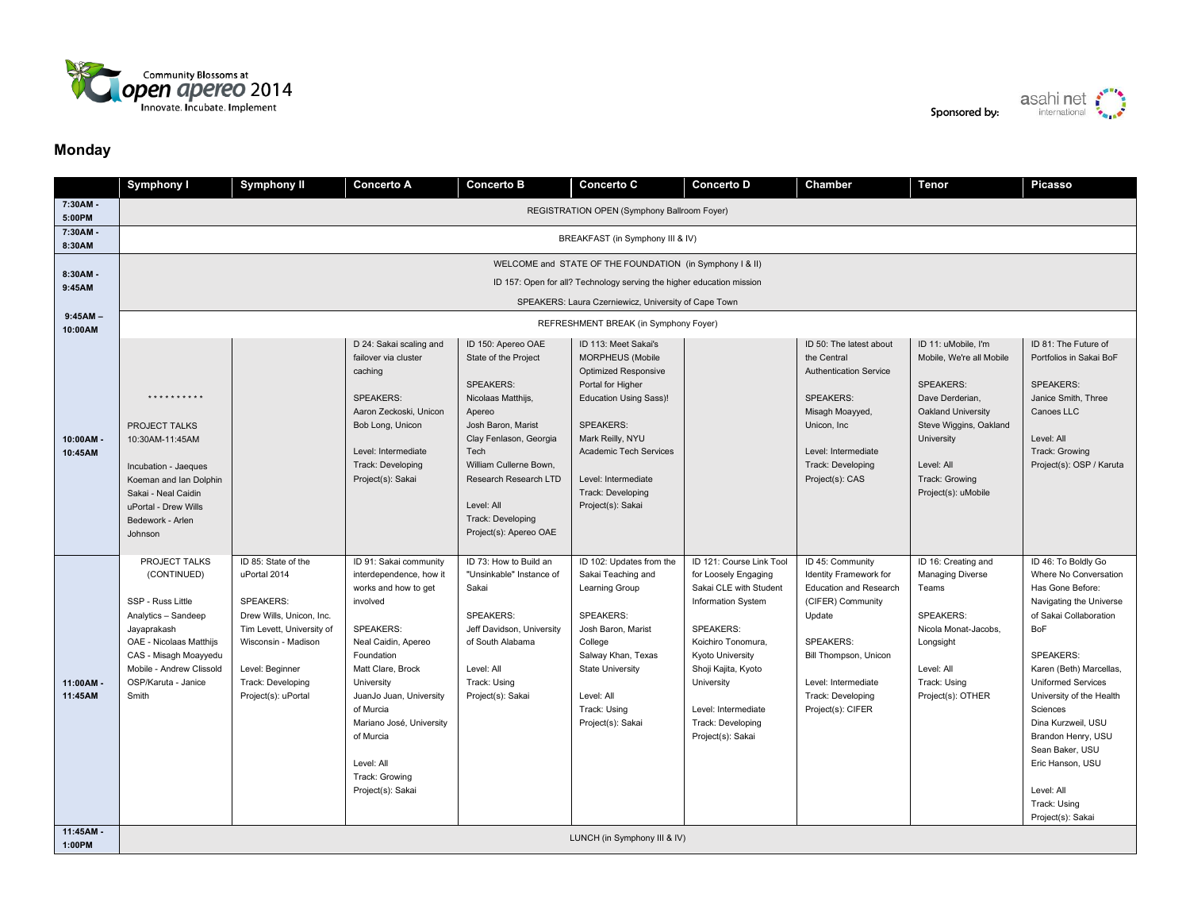

## **Monday**

|                       | Symphony I                                                                                                                                                                                              | <b>Symphony II</b>                                                                                                                                                                              | <b>Concerto A</b>                                                                                                                                                                                                                                                                                                       | <b>Concerto B</b>                                                                                                                                                                                                                                               | <b>Concerto C</b>                                                                                                                                                                                                                                                | <b>Concerto D</b>                                                                                                                                                                                                                                             | Chamber                                                                                                                                                                                                           | Tenor                                                                                                                                                                                                | <b>Picasso</b>                                                                                                                                                                                                                                                                                                                                                                                |  |  |  |
|-----------------------|---------------------------------------------------------------------------------------------------------------------------------------------------------------------------------------------------------|-------------------------------------------------------------------------------------------------------------------------------------------------------------------------------------------------|-------------------------------------------------------------------------------------------------------------------------------------------------------------------------------------------------------------------------------------------------------------------------------------------------------------------------|-----------------------------------------------------------------------------------------------------------------------------------------------------------------------------------------------------------------------------------------------------------------|------------------------------------------------------------------------------------------------------------------------------------------------------------------------------------------------------------------------------------------------------------------|---------------------------------------------------------------------------------------------------------------------------------------------------------------------------------------------------------------------------------------------------------------|-------------------------------------------------------------------------------------------------------------------------------------------------------------------------------------------------------------------|------------------------------------------------------------------------------------------------------------------------------------------------------------------------------------------------------|-----------------------------------------------------------------------------------------------------------------------------------------------------------------------------------------------------------------------------------------------------------------------------------------------------------------------------------------------------------------------------------------------|--|--|--|
| 7:30AM-<br>5:00PM     |                                                                                                                                                                                                         |                                                                                                                                                                                                 |                                                                                                                                                                                                                                                                                                                         |                                                                                                                                                                                                                                                                 | REGISTRATION OPEN (Symphony Ballroom Foyer)                                                                                                                                                                                                                      |                                                                                                                                                                                                                                                               |                                                                                                                                                                                                                   |                                                                                                                                                                                                      |                                                                                                                                                                                                                                                                                                                                                                                               |  |  |  |
| 7:30AM<br>8:30AM      |                                                                                                                                                                                                         |                                                                                                                                                                                                 |                                                                                                                                                                                                                                                                                                                         |                                                                                                                                                                                                                                                                 | BREAKFAST (in Symphony III & IV)                                                                                                                                                                                                                                 |                                                                                                                                                                                                                                                               |                                                                                                                                                                                                                   |                                                                                                                                                                                                      |                                                                                                                                                                                                                                                                                                                                                                                               |  |  |  |
| 8:30AM-<br>9:45AM     |                                                                                                                                                                                                         | WELCOME and STATE OF THE FOUNDATION (in Symphony I & II)<br>ID 157: Open for all? Technology serving the higher education mission<br>SPEAKERS: Laura Czerniewicz, University of Cape Town       |                                                                                                                                                                                                                                                                                                                         |                                                                                                                                                                                                                                                                 |                                                                                                                                                                                                                                                                  |                                                                                                                                                                                                                                                               |                                                                                                                                                                                                                   |                                                                                                                                                                                                      |                                                                                                                                                                                                                                                                                                                                                                                               |  |  |  |
| $9:45AM -$<br>10:00AM |                                                                                                                                                                                                         | REFRESHMENT BREAK (in Symphony Foyer)                                                                                                                                                           |                                                                                                                                                                                                                                                                                                                         |                                                                                                                                                                                                                                                                 |                                                                                                                                                                                                                                                                  |                                                                                                                                                                                                                                                               |                                                                                                                                                                                                                   |                                                                                                                                                                                                      |                                                                                                                                                                                                                                                                                                                                                                                               |  |  |  |
| 10:00AM-<br>10:45AM   | **********<br>PROJECT TALKS<br>10:30AM-11:45AM<br>Incubation - Jaeques<br>Koeman and Ian Dolphin<br>Sakai - Neal Caidin<br>uPortal - Drew Wills<br>Bedework - Arlen<br>Johnson                          |                                                                                                                                                                                                 | D 24: Sakai scaling and<br>failover via cluster<br>caching<br><b>SPEAKERS:</b><br>Aaron Zeckoski, Unicon<br>Bob Long, Unicon<br>Level: Intermediate<br>Track: Developing<br>Project(s): Sakai                                                                                                                           | ID 150: Apereo OAE<br>State of the Project<br>SPEAKERS:<br>Nicolaas Matthijs,<br>Apereo<br>Josh Baron, Marist<br>Clay Fenlason, Georgia<br>Tech<br>William Cullerne Bown,<br>Research Research LTD<br>Level: All<br>Track: Developing<br>Project(s): Apereo OAE | ID 113: Meet Sakai's<br><b>MORPHEUS (Mobile</b><br>Optimized Responsive<br>Portal for Higher<br><b>Education Using Sass)!</b><br>SPEAKERS:<br>Mark Reilly, NYU<br><b>Academic Tech Services</b><br>Level: Intermediate<br>Track: Developing<br>Project(s): Sakai |                                                                                                                                                                                                                                                               | ID 50: The latest about<br>the Central<br><b>Authentication Service</b><br>SPEAKERS:<br>Misagh Moayyed,<br>Unicon, Inc.<br>Level: Intermediate<br>Track: Developing<br>Project(s): CAS                            | ID 11: uMobile, I'm<br>Mobile, We're all Mobile<br>SPEAKERS:<br>Dave Derderian,<br>Oakland University<br>Steve Wiggins, Oakland<br>University<br>Level: All<br>Track: Growing<br>Project(s): uMobile | ID 81: The Future of<br>Portfolios in Sakai BoF<br><b>SPEAKERS:</b><br>Janice Smith, Three<br>Canoes LLC<br>Level: All<br>Track: Growing<br>Project(s): OSP / Karuta                                                                                                                                                                                                                          |  |  |  |
| 11:00AM-<br>11:45AM   | PROJECT TALKS<br>(CONTINUED)<br>SSP - Russ Little<br>Analytics - Sandeep<br>Jayaprakash<br>OAE - Nicolaas Matthijs<br>CAS - Misagh Moayyedu<br>Mobile - Andrew Clissold<br>OSP/Karuta - Janice<br>Smith | ID 85: State of the<br>uPortal 2014<br>SPEAKERS:<br>Drew Wills, Unicon, Inc.<br>Tim Levett, University of<br>Wisconsin - Madison<br>Level: Beginner<br>Track: Developing<br>Project(s): uPortal | ID 91: Sakai community<br>interdependence, how it<br>works and how to get<br>involved<br><b>SPEAKERS:</b><br>Neal Caidin, Apereo<br>Foundation<br>Matt Clare, Brock<br>University<br>JuanJo Juan, University<br>of Murcia<br>Mariano José, University<br>of Murcia<br>Level: All<br>Track: Growing<br>Project(s): Sakai | ID 73: How to Build an<br>"Unsinkable" Instance of<br>Sakai<br>SPEAKERS:<br>Jeff Davidson, University<br>of South Alabama<br>Level: All<br>Track: Using<br>Project(s): Sakai                                                                                    | ID 102: Updates from the<br>Sakai Teaching and<br>Learning Group<br><b>SPEAKERS:</b><br>Josh Baron, Marist<br>College<br>Salway Khan, Texas<br><b>State University</b><br>Level: All<br>Track: Using<br>Project(s): Sakai                                        | ID 121: Course Link Tool<br>for Loosely Engaging<br>Sakai CLE with Student<br>Information System<br>SPEAKERS:<br>Koichiro Tonomura,<br>Kyoto University<br>Shoji Kajita, Kyoto<br>University<br>Level: Intermediate<br>Track: Developing<br>Project(s): Sakai | ID 45: Community<br>Identity Framework for<br><b>Education and Research</b><br>(CIFER) Community<br>Update<br>SPEAKERS:<br>Bill Thompson, Unicon<br>Level: Intermediate<br>Track: Developing<br>Project(s): CIFER | ID 16: Creating and<br><b>Managing Diverse</b><br>Teams<br>SPEAKERS:<br>Nicola Monat-Jacobs,<br>Longsight<br>Level: All<br>Track: Using<br>Project(s): OTHER                                         | ID 46: To Boldly Go<br>Where No Conversation<br>Has Gone Before:<br>Navigating the Universe<br>of Sakai Collaboration<br><b>BoF</b><br><b>SPEAKERS:</b><br>Karen (Beth) Marcellas,<br><b>Uniformed Services</b><br>University of the Health<br>Sciences<br>Dina Kurzweil, USU<br>Brandon Henry, USU<br>Sean Baker, USU<br>Eric Hanson, USU<br>Level: All<br>Track: Using<br>Project(s): Sakai |  |  |  |
| 11:45AM-<br>1:00PM    |                                                                                                                                                                                                         |                                                                                                                                                                                                 |                                                                                                                                                                                                                                                                                                                         |                                                                                                                                                                                                                                                                 | LUNCH (in Symphony III & IV)                                                                                                                                                                                                                                     |                                                                                                                                                                                                                                                               |                                                                                                                                                                                                                   |                                                                                                                                                                                                      |                                                                                                                                                                                                                                                                                                                                                                                               |  |  |  |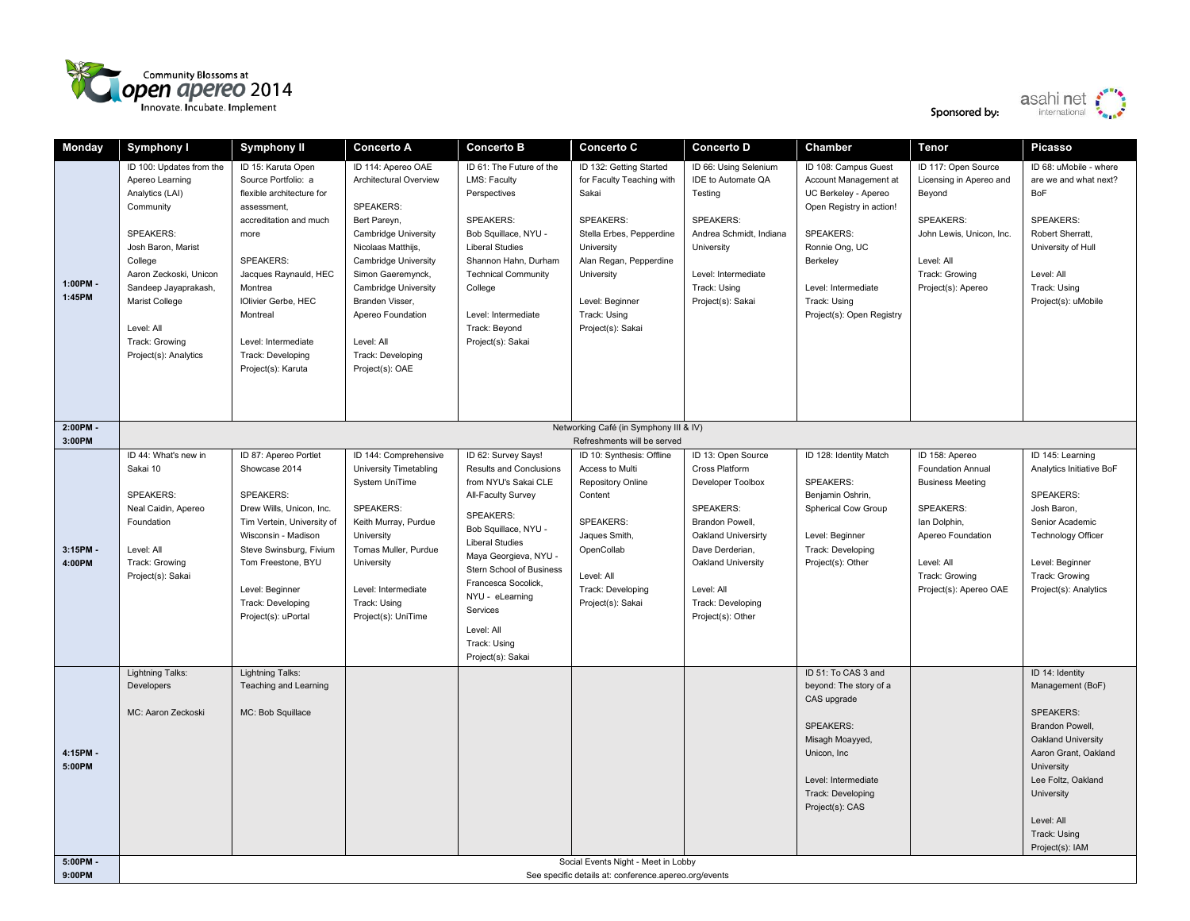

**Monday** 

| $1:00PM -$<br>1:45PM | ID 100: Updates from the<br>Apereo Learning<br>Analytics (LAI)<br>Community<br>SPEAKERS:<br>Josh Baron, Marist<br>College<br>Aaron Zeckoski, Unicon<br>Sandeep Jayaprakash,<br>Marist College<br>Level: All<br>Track: Growing<br>Project(s): Analytics | ID 15: Karuta Open<br>Source Portfolio: a<br>flexible architecture for<br>assessment,<br>accreditation and much<br>more<br>SPEAKERS:<br>Jacques Raynauld, HEC<br>Montrea<br>IOlivier Gerbe, HEC<br>Montreal<br>Level: Intermediate<br>Track: Developing<br>Project(s): Karuta | ID 114: Apereo OAE<br>Architectural Overview<br>SPEAKERS:<br>Bert Pareyn,<br>Cambridge University<br>Nicolaas Matthijs,<br>Cambridge University<br>Simon Gaeremynck,<br><b>Cambridge University</b><br>Branden Visser,<br>Apereo Foundation<br>Level: All<br>Track: Developing<br>Project(s): OAE | ID 61: The Future of the<br>LMS: Faculty<br>Perspectives<br>SPEAKERS:<br>Bob Squillace, NYU -<br><b>Liberal Studies</b><br>Shannon Hahn, Durham<br><b>Technical Community</b><br>College<br>Level: Intermediate<br>Track: Beyond<br>Project(s): Sakai                                                                     | ID 132: Getting Started<br>for Faculty Teaching with<br>Sakai<br><b>SPEAKERS:</b><br>Stella Erbes, Pepperdine<br>University<br>Alan Regan, Pepperdine<br>University<br>Level: Beginner<br>Track: Using<br>Project(s): Sakai | ID 66: Using Selenium<br>IDE to Automate QA<br>Testing<br><b>SPEAKERS:</b><br>Andrea Schmidt, Indiana<br>University<br>Level: Intermediate<br>Track: Using<br>Project(s): Sakai                                   | ID 108: Campus Guest<br>Account Management at<br>UC Berkeley - Apereo<br>Open Registry in action!<br>SPEAKERS:<br>Ronnie Ong, UC<br>Berkeley<br>Level: Intermediate<br>Track: Using<br>Project(s): Open Registry | ID 117: Open Source<br>Licensing in Apereo and<br>Beyond<br><b>SPEAKERS:</b><br>John Lewis, Unicon, Inc.<br>Level: All<br>Track: Growing<br>Project(s): Apereo             | ID 68: uMobile - where<br>are we and what next?<br><b>BoF</b><br>SPEAKERS:<br>Robert Sherratt,<br>University of Hull<br>Level: All<br>Track: Using<br>Project(s): uMobile                                                   |
|----------------------|--------------------------------------------------------------------------------------------------------------------------------------------------------------------------------------------------------------------------------------------------------|-------------------------------------------------------------------------------------------------------------------------------------------------------------------------------------------------------------------------------------------------------------------------------|---------------------------------------------------------------------------------------------------------------------------------------------------------------------------------------------------------------------------------------------------------------------------------------------------|---------------------------------------------------------------------------------------------------------------------------------------------------------------------------------------------------------------------------------------------------------------------------------------------------------------------------|-----------------------------------------------------------------------------------------------------------------------------------------------------------------------------------------------------------------------------|-------------------------------------------------------------------------------------------------------------------------------------------------------------------------------------------------------------------|------------------------------------------------------------------------------------------------------------------------------------------------------------------------------------------------------------------|----------------------------------------------------------------------------------------------------------------------------------------------------------------------------|-----------------------------------------------------------------------------------------------------------------------------------------------------------------------------------------------------------------------------|
| 2:00PM               |                                                                                                                                                                                                                                                        |                                                                                                                                                                                                                                                                               |                                                                                                                                                                                                                                                                                                   |                                                                                                                                                                                                                                                                                                                           | Networking Café (in Symphony III & IV)                                                                                                                                                                                      |                                                                                                                                                                                                                   |                                                                                                                                                                                                                  |                                                                                                                                                                            |                                                                                                                                                                                                                             |
| 3:00PM               |                                                                                                                                                                                                                                                        |                                                                                                                                                                                                                                                                               |                                                                                                                                                                                                                                                                                                   |                                                                                                                                                                                                                                                                                                                           | Refreshments will be served                                                                                                                                                                                                 |                                                                                                                                                                                                                   |                                                                                                                                                                                                                  |                                                                                                                                                                            |                                                                                                                                                                                                                             |
| 3:15PM-<br>4:00PM    | ID 44: What's new in<br>Sakai 10<br>SPEAKERS:<br>Neal Caidin, Apereo<br>Foundation<br>Level: All<br>Track: Growing<br>Project(s): Sakai                                                                                                                | ID 87: Apereo Portlet<br>Showcase 2014<br><b>SPEAKERS:</b><br>Drew Wills, Unicon, Inc.<br>Tim Vertein, University of<br>Wisconsin - Madison<br>Steve Swinsburg, Fivium<br>Tom Freestone, BYU<br>Level: Beginner<br>Track: Developing<br>Project(s): uPortal                   | ID 144: Comprehensive<br>University Timetabling<br><b>System UniTime</b><br>SPEAKERS:<br>Keith Murray, Purdue<br>University<br>Tomas Muller, Purdue<br>University<br>Level: Intermediate<br>Track: Using<br>Project(s): UniTime                                                                   | ID 62: Survey Says!<br>Results and Conclusions<br>from NYU's Sakai CLE<br>All-Faculty Survey<br>SPEAKERS:<br>Bob Squillace, NYU -<br><b>Liberal Studies</b><br>Maya Georgieva, NYU -<br>Stern School of Business<br>Francesca Socolick,<br>NYU - eLearning<br>Services<br>Level: All<br>Track: Using<br>Project(s): Sakai | ID 10: Synthesis: Offline<br>Access to Multi<br><b>Repository Online</b><br>Content<br>SPEAKERS:<br>Jaques Smith,<br>OpenCollab<br>Level: All<br>Track: Developing<br>Project(s): Sakai                                     | ID 13: Open Source<br>Cross Platform<br>Developer Toolbox<br>SPEAKERS:<br>Brandon Powell,<br>Oakland Universirty<br>Dave Derderian,<br>Oakland University<br>Level: All<br>Track: Developing<br>Project(s): Other | ID 128: Identity Match<br>SPEAKERS:<br>Benjamin Oshrin,<br>Spherical Cow Group<br>Level: Beginner<br>Track: Developing<br>Project(s): Other                                                                      | ID 158: Apereo<br>Foundation Annual<br><b>Business Meeting</b><br>SPEAKERS:<br>lan Dolphin,<br>Apereo Foundation<br>Level: All<br>Track: Growing<br>Project(s): Apereo OAE | ID 145: Learning<br>Analytics Initiative BoF<br>SPEAKERS:<br>Josh Baron,<br>Senior Academic<br><b>Technology Officer</b><br>Level: Beginner<br>Track: Growing<br>Project(s): Analytics                                      |
| 4:15PM -<br>5:00PM   | <b>Lightning Talks:</b><br>Developers<br>MC: Aaron Zeckoski                                                                                                                                                                                            | Lightning Talks:<br>Teaching and Learning<br>MC: Bob Squillace                                                                                                                                                                                                                |                                                                                                                                                                                                                                                                                                   |                                                                                                                                                                                                                                                                                                                           |                                                                                                                                                                                                                             |                                                                                                                                                                                                                   | ID 51: To CAS 3 and<br>beyond: The story of a<br>CAS upgrade<br><b>SPEAKERS:</b><br>Misagh Moayyed,<br>Unicon, Inc.<br>Level: Intermediate<br>Track: Developing<br>Project(s): CAS                               |                                                                                                                                                                            | ID 14: Identity<br>Management (BoF)<br>SPEAKERS:<br>Brandon Powell.<br>Oakland University<br>Aaron Grant, Oakland<br>University<br>Lee Foltz, Oakland<br><b>University</b><br>Level: All<br>Track: Using<br>Project(s): IAM |
| 5:00PM -<br>9:00PM   |                                                                                                                                                                                                                                                        |                                                                                                                                                                                                                                                                               |                                                                                                                                                                                                                                                                                                   |                                                                                                                                                                                                                                                                                                                           | Social Events Night - Meet in Lobby<br>See specific details at: conference.apereo.org/events                                                                                                                                |                                                                                                                                                                                                                   |                                                                                                                                                                                                                  |                                                                                                                                                                            |                                                                                                                                                                                                                             |

**Monday Symphony I Symphony II Concerto A Concerto B Concerto C Concerto D Chamber Tenor Picasso**

Sponsored by:

×.

asahi net international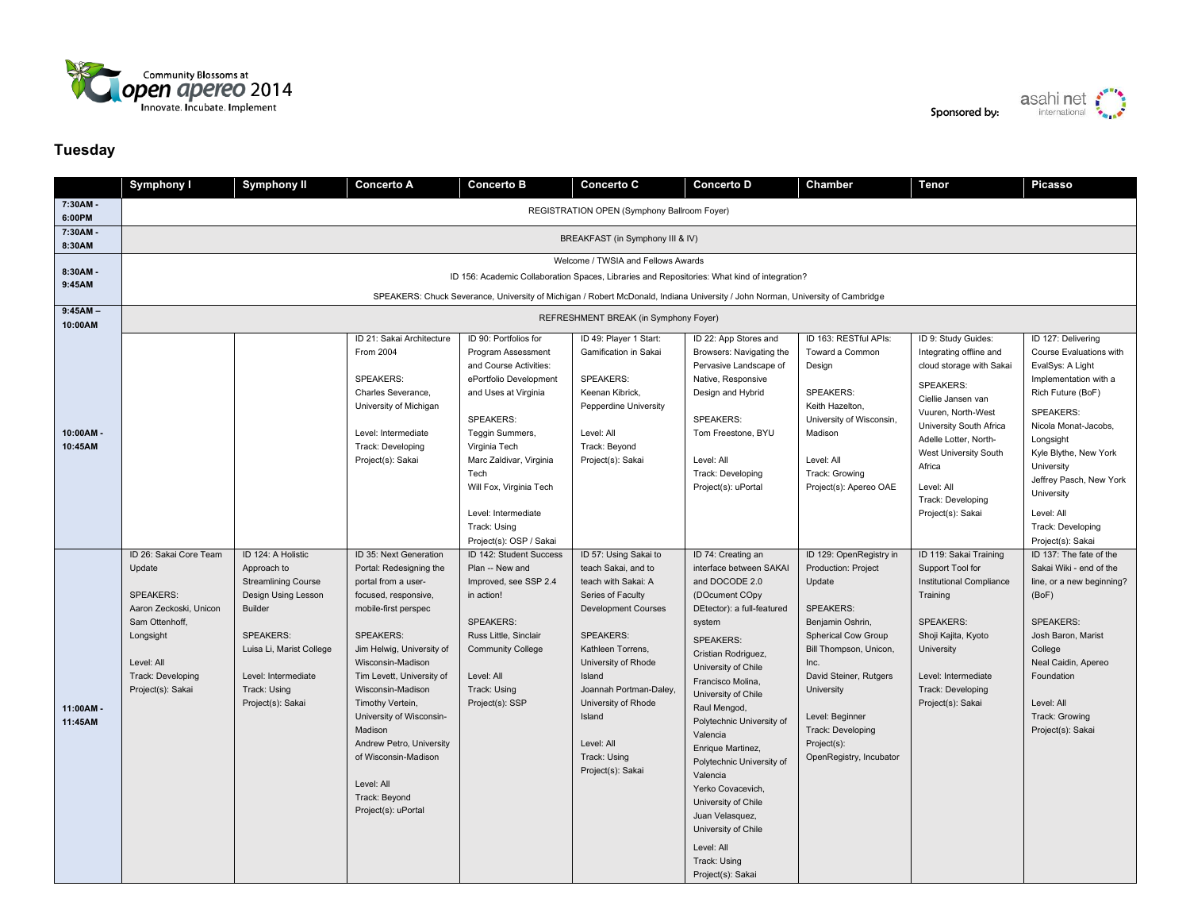

## **Tuesday**

|                       | Symphony I                                                                                                                                                            | <b>Symphony II</b>                                                                                                                                                                                            | Concerto A                                                                                                                                                                                                                                                                                                                                                                                                            | <b>Concerto B</b>                                                                                                                                                                                                                                                                                        | <b>Concerto C</b>                                                                                                                                                                                                                                                                                              | <b>Concerto D</b>                                                                                                                                                                                                                                                                                                                                                                                                                                                                                | Chamber                                                                                                                                                                                                                                                                                    | Tenor                                                                                                                                                                                                                                                                                     | <b>Picasso</b>                                                                                                                                                                                                                                                                                                   |  |  |
|-----------------------|-----------------------------------------------------------------------------------------------------------------------------------------------------------------------|---------------------------------------------------------------------------------------------------------------------------------------------------------------------------------------------------------------|-----------------------------------------------------------------------------------------------------------------------------------------------------------------------------------------------------------------------------------------------------------------------------------------------------------------------------------------------------------------------------------------------------------------------|----------------------------------------------------------------------------------------------------------------------------------------------------------------------------------------------------------------------------------------------------------------------------------------------------------|----------------------------------------------------------------------------------------------------------------------------------------------------------------------------------------------------------------------------------------------------------------------------------------------------------------|--------------------------------------------------------------------------------------------------------------------------------------------------------------------------------------------------------------------------------------------------------------------------------------------------------------------------------------------------------------------------------------------------------------------------------------------------------------------------------------------------|--------------------------------------------------------------------------------------------------------------------------------------------------------------------------------------------------------------------------------------------------------------------------------------------|-------------------------------------------------------------------------------------------------------------------------------------------------------------------------------------------------------------------------------------------------------------------------------------------|------------------------------------------------------------------------------------------------------------------------------------------------------------------------------------------------------------------------------------------------------------------------------------------------------------------|--|--|
| 7:30AM -<br>6:00PM    |                                                                                                                                                                       |                                                                                                                                                                                                               |                                                                                                                                                                                                                                                                                                                                                                                                                       |                                                                                                                                                                                                                                                                                                          | REGISTRATION OPEN (Symphony Ballroom Foyer)                                                                                                                                                                                                                                                                    |                                                                                                                                                                                                                                                                                                                                                                                                                                                                                                  |                                                                                                                                                                                                                                                                                            |                                                                                                                                                                                                                                                                                           |                                                                                                                                                                                                                                                                                                                  |  |  |
| $7:30AM -$<br>8:30AM  |                                                                                                                                                                       |                                                                                                                                                                                                               |                                                                                                                                                                                                                                                                                                                                                                                                                       |                                                                                                                                                                                                                                                                                                          | BREAKFAST (in Symphony III & IV)                                                                                                                                                                                                                                                                               |                                                                                                                                                                                                                                                                                                                                                                                                                                                                                                  |                                                                                                                                                                                                                                                                                            |                                                                                                                                                                                                                                                                                           |                                                                                                                                                                                                                                                                                                                  |  |  |
|                       |                                                                                                                                                                       |                                                                                                                                                                                                               |                                                                                                                                                                                                                                                                                                                                                                                                                       |                                                                                                                                                                                                                                                                                                          | Welcome / TWSIA and Fellows Awards                                                                                                                                                                                                                                                                             |                                                                                                                                                                                                                                                                                                                                                                                                                                                                                                  |                                                                                                                                                                                                                                                                                            |                                                                                                                                                                                                                                                                                           |                                                                                                                                                                                                                                                                                                                  |  |  |
| 8:30AM-<br>9:45AM     |                                                                                                                                                                       |                                                                                                                                                                                                               |                                                                                                                                                                                                                                                                                                                                                                                                                       | ID 156: Academic Collaboration Spaces, Libraries and Repositories: What kind of integration?                                                                                                                                                                                                             |                                                                                                                                                                                                                                                                                                                |                                                                                                                                                                                                                                                                                                                                                                                                                                                                                                  |                                                                                                                                                                                                                                                                                            |                                                                                                                                                                                                                                                                                           |                                                                                                                                                                                                                                                                                                                  |  |  |
|                       | SPEAKERS: Chuck Severance, University of Michigan / Robert McDonald, Indiana University / John Norman, University of Cambridge                                        |                                                                                                                                                                                                               |                                                                                                                                                                                                                                                                                                                                                                                                                       |                                                                                                                                                                                                                                                                                                          |                                                                                                                                                                                                                                                                                                                |                                                                                                                                                                                                                                                                                                                                                                                                                                                                                                  |                                                                                                                                                                                                                                                                                            |                                                                                                                                                                                                                                                                                           |                                                                                                                                                                                                                                                                                                                  |  |  |
| $9:45AM -$<br>10:00AM | REFRESHMENT BREAK (in Symphony Foyer)                                                                                                                                 |                                                                                                                                                                                                               |                                                                                                                                                                                                                                                                                                                                                                                                                       |                                                                                                                                                                                                                                                                                                          |                                                                                                                                                                                                                                                                                                                |                                                                                                                                                                                                                                                                                                                                                                                                                                                                                                  |                                                                                                                                                                                                                                                                                            |                                                                                                                                                                                                                                                                                           |                                                                                                                                                                                                                                                                                                                  |  |  |
| 10:00AM<br>10:45AM    |                                                                                                                                                                       |                                                                                                                                                                                                               | ID 21: Sakai Architecture<br>From 2004<br><b>SPEAKERS:</b><br>Charles Severance.<br>University of Michigan<br>Level: Intermediate<br>Track: Developing<br>Project(s): Sakai                                                                                                                                                                                                                                           | ID 90: Portfolios for<br>Program Assessment<br>and Course Activities:<br>ePortfolio Development<br>and Uses at Virginia<br>SPEAKERS:<br>Teggin Summers,<br>Virginia Tech<br>Marc Zaldivar, Virginia<br>Tech<br>Will Fox, Virginia Tech<br>Level: Intermediate<br>Track: Using<br>Project(s): OSP / Sakai | ID 49: Player 1 Start:<br>Gamification in Sakai<br>SPEAKERS:<br>Keenan Kibrick.<br>Pepperdine University<br>Level: All<br>Track: Beyond<br>Project(s): Sakai                                                                                                                                                   | ID 22: App Stores and<br>Browsers: Navigating the<br>Pervasive Landscape of<br>Native, Responsive<br>Design and Hybrid<br>SPEAKERS:<br>Tom Freestone, BYU<br>Level: All<br>Track: Developing<br>Project(s): uPortal                                                                                                                                                                                                                                                                              | ID 163: RESTful APIs:<br>Toward a Common<br>Design<br>SPEAKERS:<br>Keith Hazelton,<br>University of Wisconsin,<br>Madison<br>Level: All<br>Track: Growing<br>Project(s): Apereo OAE                                                                                                        | ID 9: Study Guides:<br>Integrating offline and<br>cloud storage with Sakai<br><b>SPEAKERS:</b><br>Ciellie Jansen van<br>Vuuren, North-West<br>University South Africa<br>Adelle Lotter, North-<br>West University South<br>Africa<br>Level: All<br>Track: Developing<br>Project(s): Sakai | ID 127: Delivering<br>Course Evaluations with<br>EvalSys: A Light<br>Implementation with a<br>Rich Future (BoF)<br><b>SPEAKERS:</b><br>Nicola Monat-Jacobs.<br>Longsight<br>Kyle Blythe, New York<br>University<br>Jeffrey Pasch, New York<br>University<br>Level: All<br>Track: Developing<br>Project(s): Sakai |  |  |
| 11:00AM-<br>11:45AM   | ID 26: Sakai Core Team<br>Update<br><b>SPEAKERS:</b><br>Aaron Zeckoski, Unicon<br>Sam Ottenhoff,<br>Longsight<br>Level: All<br>Track: Developing<br>Project(s): Sakai | ID 124: A Holistic<br>Approach to<br><b>Streamlining Course</b><br>Design Using Lesson<br><b>Builder</b><br>SPEAKERS:<br>Luisa Li, Marist College<br>Level: Intermediate<br>Track: Using<br>Project(s): Sakai | ID 35: Next Generation<br>Portal: Redesigning the<br>portal from a user-<br>focused, responsive,<br>mobile-first perspec<br><b>SPEAKERS:</b><br>Jim Helwig, University of<br>Wisconsin-Madison<br>Tim Levett, University of<br>Wisconsin-Madison<br>Timothy Vertein,<br>University of Wisconsin-<br>Madison<br>Andrew Petro, University<br>of Wisconsin-Madison<br>Level: All<br>Track: Beyond<br>Project(s): uPortal | ID 142: Student Success<br>Plan -- New and<br>Improved, see SSP 2.4<br>in action!<br><b>SPEAKERS:</b><br>Russ Little, Sinclair<br><b>Community College</b><br>Level: All<br>Track: Using<br>Project(s): SSP                                                                                              | ID 57: Using Sakai to<br>teach Sakai, and to<br>teach with Sakai: A<br>Series of Faculty<br><b>Development Courses</b><br><b>SPEAKERS:</b><br>Kathleen Torrens.<br>University of Rhode<br>Island<br>Joannah Portman-Daley,<br>University of Rhode<br>Island<br>Level: All<br>Track: Using<br>Project(s): Sakai | ID 74: Creating an<br>interface between SAKAI<br>and DOCODE 2.0<br>(DOcument COpy<br>DEtector): a full-featured<br>system<br>SPEAKERS:<br>Cristian Rodriguez,<br>University of Chile<br>Francisco Molina,<br>University of Chile<br>Raul Mengod,<br>Polytechnic University of<br>Valencia<br>Enrique Martinez,<br>Polytechnic University of<br>Valencia<br>Yerko Covacevich,<br>University of Chile<br>Juan Velasquez,<br>University of Chile<br>Level: All<br>Track: Using<br>Project(s): Sakai | ID 129: OpenRegistry in<br><b>Production: Project</b><br>Update<br>SPEAKERS:<br>Benjamin Oshrin,<br><b>Spherical Cow Group</b><br>Bill Thompson, Unicon,<br>Inc.<br>David Steiner, Rutgers<br>University<br>Level: Beginner<br>Track: Developing<br>Project(s):<br>OpenRegistry, Incubator | ID 119: Sakai Training<br>Support Tool for<br><b>Institutional Compliance</b><br>Training<br><b>SPEAKERS:</b><br>Shoji Kajita, Kyoto<br><b>University</b><br>Level: Intermediate<br>Track: Developing<br>Project(s): Sakai                                                                | ID 137: The fate of the<br>Sakai Wiki - end of the<br>line, or a new beginning?<br>(BoF)<br><b>SPEAKERS:</b><br>Josh Baron, Marist<br>College<br>Neal Caidin, Apereo<br>Foundation<br>Level: All<br>Track: Growing<br>Project(s): Sakai                                                                          |  |  |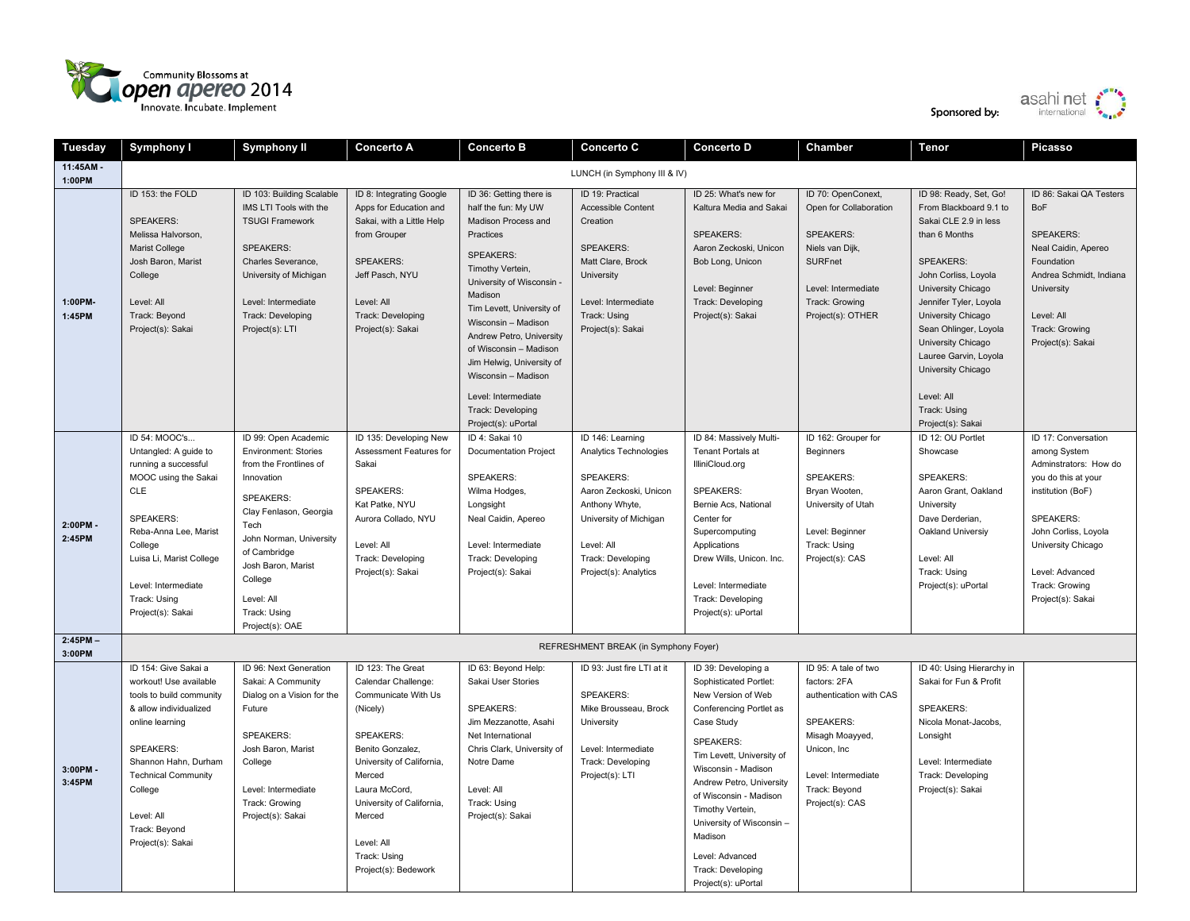

| Tuesday              | <b>Symphony I</b>                                                                                                                                                                                                                             | <b>Symphony II</b>                                                                                                                                                                                                                                                      | <b>Concerto A</b>                                                                                                                                                                              | <b>Concerto B</b>                                                                                                                                                                                                                                                                                                                                                                                   | <b>Concerto C</b>                                                                                                                                                                                | <b>Concerto D</b>                                                                                                                                                                                                                                          | Chamber                                                                                                                                                      | <b>Tenor</b>                                                                                                                                                                                                                                                                                                                                                  | <b>Picasso</b>                                                                                                                                                                                                                |
|----------------------|-----------------------------------------------------------------------------------------------------------------------------------------------------------------------------------------------------------------------------------------------|-------------------------------------------------------------------------------------------------------------------------------------------------------------------------------------------------------------------------------------------------------------------------|------------------------------------------------------------------------------------------------------------------------------------------------------------------------------------------------|-----------------------------------------------------------------------------------------------------------------------------------------------------------------------------------------------------------------------------------------------------------------------------------------------------------------------------------------------------------------------------------------------------|--------------------------------------------------------------------------------------------------------------------------------------------------------------------------------------------------|------------------------------------------------------------------------------------------------------------------------------------------------------------------------------------------------------------------------------------------------------------|--------------------------------------------------------------------------------------------------------------------------------------------------------------|---------------------------------------------------------------------------------------------------------------------------------------------------------------------------------------------------------------------------------------------------------------------------------------------------------------------------------------------------------------|-------------------------------------------------------------------------------------------------------------------------------------------------------------------------------------------------------------------------------|
| 11:45AM -<br>1:00PM  |                                                                                                                                                                                                                                               |                                                                                                                                                                                                                                                                         |                                                                                                                                                                                                |                                                                                                                                                                                                                                                                                                                                                                                                     | LUNCH (in Symphony III & IV)                                                                                                                                                                     |                                                                                                                                                                                                                                                            |                                                                                                                                                              |                                                                                                                                                                                                                                                                                                                                                               |                                                                                                                                                                                                                               |
| 1:00PM-<br>1:45PM    | ID 153: the FOLD<br><b>SPEAKERS:</b><br>Melissa Halvorson,<br><b>Marist College</b><br>Josh Baron, Marist<br>College<br>Level: All<br>Track: Beyond<br>Project(s): Sakai                                                                      | ID 103: Building Scalable<br>IMS LTI Tools with the<br><b>TSUGI Framework</b><br><b>SPEAKERS:</b><br>Charles Severance.<br>University of Michigan<br>Level: Intermediate<br>Track: Developing<br>Project(s): LTI                                                        | ID 8: Integrating Google<br>Apps for Education and<br>Sakai, with a Little Help<br>from Grouper<br><b>SPEAKERS:</b><br>Jeff Pasch, NYU<br>Level: All<br>Track: Developing<br>Project(s): Sakai | ID 36: Getting there is<br>half the fun: My UW<br>Madison Process and<br>Practices<br><b>SPEAKERS:</b><br>Timothy Vertein,<br>University of Wisconsin -<br>Madison<br>Tim Levett, University of<br>Wisconsin - Madison<br>Andrew Petro, University<br>of Wisconsin - Madison<br>Jim Helwig, University of<br>Wisconsin - Madison<br>Level: Intermediate<br>Track: Developing<br>Project(s): uPortal | ID 19: Practical<br><b>Accessible Content</b><br>Creation<br><b>SPEAKERS:</b><br>Matt Clare, Brock<br>University<br>Level: Intermediate<br>Track: Using<br>Project(s): Sakai                     | ID 25: What's new for<br>Kaltura Media and Sakai<br><b>SPEAKERS:</b><br>Aaron Zeckoski, Unicon<br>Bob Long, Unicon<br>Level: Beginner<br>Track: Developing<br>Project(s): Sakai                                                                            | ID 70: OpenConext,<br>Open for Collaboration<br>SPEAKERS:<br>Niels van Dijk,<br><b>SURFnet</b><br>Level: Intermediate<br>Track: Growing<br>Project(s): OTHER | ID 98: Ready, Set, Go!<br>From Blackboard 9.1 to<br>Sakai CLE 2.9 in less<br>than 6 Months<br><b>SPEAKERS:</b><br>John Corliss, Loyola<br>University Chicago<br>Jennifer Tyler, Loyola<br>University Chicago<br>Sean Ohlinger, Loyola<br>University Chicago<br>Lauree Garvin, Loyola<br>University Chicago<br>Level: All<br>Track: Using<br>Project(s): Sakai | ID 86: Sakai QA Testers<br><b>BoF</b><br><b>SPEAKERS:</b><br>Neal Caidin, Apereo<br>Foundation<br>Andrea Schmidt, Indiana<br>University<br>Level: All<br>Track: Growing<br>Project(s): Sakai                                  |
| 2:00PM -<br>2:45PM   | ID 54: MOOC's<br>Untangled: A guide to<br>running a successful<br>MOOC using the Sakai<br><b>CLE</b><br>SPEAKERS:<br>Reba-Anna Lee, Marist<br>College<br>Luisa Li, Marist College<br>Level: Intermediate<br>Track: Using<br>Project(s): Sakai | ID 99: Open Academic<br><b>Environment: Stories</b><br>from the Frontlines of<br>Innovation<br>SPEAKERS:<br>Clay Fenlason, Georgia<br>Tech<br>John Norman, University<br>of Cambridge<br>Josh Baron, Marist<br>College<br>Level: All<br>Track: Using<br>Project(s): OAE | ID 135: Developing New<br>Assessment Features for<br>Sakai<br>SPEAKERS:<br>Kat Patke, NYU<br>Aurora Collado, NYU<br>Level: All<br>Track: Developing<br>Project(s): Sakai                       | ID 4: Sakai 10<br><b>Documentation Project</b><br>SPEAKERS:<br>Wilma Hodges,<br>Longsight<br>Neal Caidin, Apereo<br>Level: Intermediate<br>Track: Developing<br>Project(s): Sakai                                                                                                                                                                                                                   | ID 146: Learning<br>Analytics Technologies<br><b>SPEAKERS:</b><br>Aaron Zeckoski, Unicon<br>Anthony Whyte,<br>University of Michigan<br>Level: All<br>Track: Developing<br>Project(s): Analytics | ID 84: Massively Multi-<br>Tenant Portals at<br>IlliniCloud.org<br><b>SPEAKERS:</b><br>Bernie Acs, National<br>Center for<br>Supercomputing<br>Applications<br>Drew Wills, Unicon. Inc.<br>Level: Intermediate<br>Track: Developing<br>Project(s): uPortal | ID 162: Grouper for<br><b>Beginners</b><br>SPEAKERS:<br>Bryan Wooten,<br>University of Utah<br>Level: Beginner<br>Track: Using<br>Project(s): CAS            | ID 12: OU Portlet<br>Showcase<br><b>SPEAKERS:</b><br>Aaron Grant, Oakland<br>University<br>Dave Derderian.<br>Oakland Universiy<br>Level: All<br>Track: Using<br>Project(s): uPortal                                                                                                                                                                          | ID 17: Conversation<br>among System<br>Adminstrators: How do<br>you do this at your<br>institution (BoF)<br>SPEAKERS:<br>John Corliss, Loyola<br>University Chicago<br>Level: Advanced<br>Track: Growing<br>Project(s): Sakai |
| $2:45PM -$<br>3:00PM |                                                                                                                                                                                                                                               |                                                                                                                                                                                                                                                                         |                                                                                                                                                                                                |                                                                                                                                                                                                                                                                                                                                                                                                     | REFRESHMENT BREAK (in Symphony Foyer)                                                                                                                                                            |                                                                                                                                                                                                                                                            |                                                                                                                                                              |                                                                                                                                                                                                                                                                                                                                                               |                                                                                                                                                                                                                               |
|                      | ID 154: Give Sakai a<br>workout! Use available<br>tools to build community<br>hesileubivibni wolls &                                                                                                                                          | ID 96: Next Generation<br>Sakai: A Community<br>Dialog on a Vision for the<br>Future                                                                                                                                                                                    | ID 123: The Great<br>Calendar Challenge:<br>Communicate With Us<br>(Nichiv)                                                                                                                    | ID 63: Beyond Help:<br>Sakai User Stories<br>SPEAKERS:                                                                                                                                                                                                                                                                                                                                              | ID 93: Just fire LTI at it<br><b>SPEAKERS:</b><br>Mike Brousseau, Brock                                                                                                                          | ID 39: Developing a<br>Sophisticated Portlet:<br>New Version of Web<br>Conferencing Portlet as                                                                                                                                                             | ID 95: A tale of two<br>factors: 2FA<br>authentication with CAS                                                                                              | ID 40: Using Hierarchy in<br>Sakai for Fun & Profit<br>SPFAKERS:                                                                                                                                                                                                                                                                                              |                                                                                                                                                                                                                               |

Sponsored by:

asahi net i international

**2:00PM - 2:45PM**

**11:45AM - 1:00PM**

**1:00PM-1:45PM**

| $2:45PM -$<br>3:00PM |                                                                                                                                                                                                                                                           |                                                                                                                                                                                                  |                                                                                                                                                                                                                                                                   |                                                                                                                                                                                                     | REFRESHMENT BREAK (in Symphony Foyer)                                                                                                         |                                                                                                                                                                                                                                                                                                                                                                |                                                                                                                                                                            |                                                                                                                                                                       |  |
|----------------------|-----------------------------------------------------------------------------------------------------------------------------------------------------------------------------------------------------------------------------------------------------------|--------------------------------------------------------------------------------------------------------------------------------------------------------------------------------------------------|-------------------------------------------------------------------------------------------------------------------------------------------------------------------------------------------------------------------------------------------------------------------|-----------------------------------------------------------------------------------------------------------------------------------------------------------------------------------------------------|-----------------------------------------------------------------------------------------------------------------------------------------------|----------------------------------------------------------------------------------------------------------------------------------------------------------------------------------------------------------------------------------------------------------------------------------------------------------------------------------------------------------------|----------------------------------------------------------------------------------------------------------------------------------------------------------------------------|-----------------------------------------------------------------------------------------------------------------------------------------------------------------------|--|
| $3:00PM -$<br>3:45PM | ID 154: Give Sakai a<br>workout! Use available<br>tools to build community<br>& allow individualized<br>online learning<br>SPEAKERS:<br>Shannon Hahn, Durham<br><b>Technical Community</b><br>College<br>Level: All<br>Track: Beyond<br>Project(s): Sakai | ID 96: Next Generation<br>Sakai: A Community<br>Dialog on a Vision for the<br>Future<br>SPEAKERS:<br>Josh Baron, Marist<br>College<br>Level: Intermediate<br>Track: Growing<br>Project(s): Sakai | ID 123: The Great<br>Calendar Challenge:<br>Communicate With Us<br>(Nicely)<br>SPEAKERS:<br>Benito Gonzalez.<br>University of California,<br>Merced<br>Laura McCord,<br>University of California,<br>Merced<br>Level: All<br>Track: Using<br>Project(s): Bedework | ID 63: Beyond Help:<br>Sakai User Stories<br>SPEAKERS:<br>Jim Mezzanotte, Asahi<br>Net International<br>Chris Clark, University of<br>Notre Dame<br>Level: All<br>Track: Using<br>Project(s): Sakai | ID 93: Just fire LTI at it<br>SPEAKERS:<br>Mike Brousseau, Brock<br>University<br>Level: Intermediate<br>Track: Developing<br>Project(s): LTI | ID 39: Developing a<br>Sophisticated Portlet:<br>New Version of Web<br>Conferencing Portlet as<br>Case Study<br>SPEAKERS:<br>Tim Levett, University of<br>Wisconsin - Madison<br>Andrew Petro, University<br>of Wisconsin - Madison<br>Timothy Vertein,<br>University of Wisconsin -<br>Madison<br>Level: Advanced<br>Track: Developing<br>Project(s): uPortal | ID 95: A tale of two<br>factors: 2FA<br>authentication with CAS<br>SPEAKERS:<br>Misagh Moayyed,<br>Unicon, Inc.<br>Level: Intermediate<br>Track: Beyond<br>Project(s): CAS | ID 40: Using Hierarchy in<br>Sakai for Fun & Profit<br>SPEAKERS:<br>Nicola Monat-Jacobs,<br>Lonsight<br>Level: Intermediate<br>Track: Developing<br>Project(s): Sakai |  |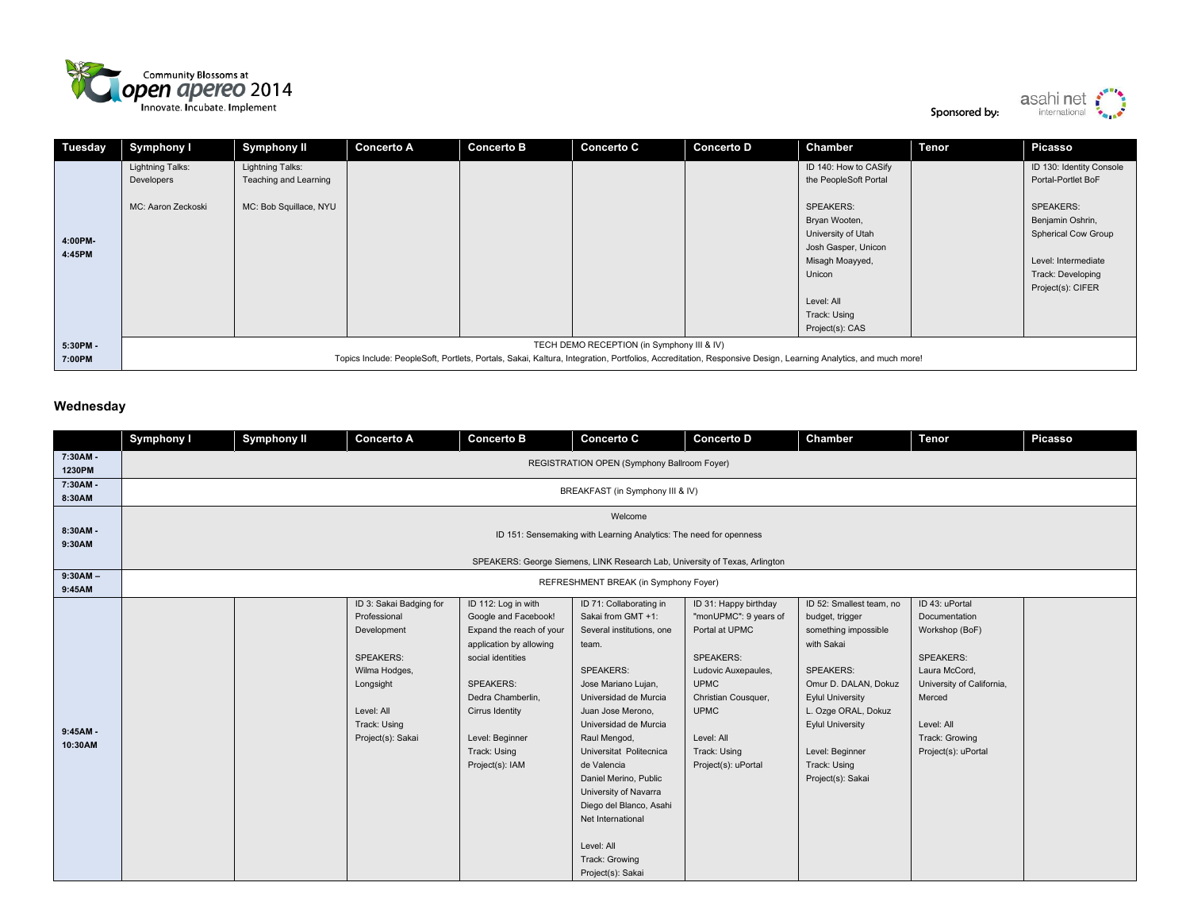

| Tuesday  | Symphony I         | <b>Symphony II</b>     | <b>Concerto A</b> | <b>Concerto B</b> | <b>Concerto C</b>                          | <b>Concerto D</b> | Chamber                                                                                                                                                      | <b>Tenor</b> | Picasso                    |
|----------|--------------------|------------------------|-------------------|-------------------|--------------------------------------------|-------------------|--------------------------------------------------------------------------------------------------------------------------------------------------------------|--------------|----------------------------|
|          | Lightning Talks:   | Lightning Talks:       |                   |                   |                                            |                   | ID 140: How to CASify                                                                                                                                        |              | ID 130: Identity Console   |
|          | Developers         | Teaching and Learning  |                   |                   |                                            |                   | the PeopleSoft Portal                                                                                                                                        |              | Portal-Portlet BoF         |
|          | MC: Aaron Zeckoski | MC: Bob Squillace, NYU |                   |                   |                                            |                   | SPEAKERS:                                                                                                                                                    |              | SPEAKERS:                  |
|          |                    |                        |                   |                   |                                            |                   | Bryan Wooten,                                                                                                                                                |              | Benjamin Oshrin,           |
| 4:00PM-  |                    |                        |                   |                   |                                            |                   | University of Utah                                                                                                                                           |              | <b>Spherical Cow Group</b> |
| 4:45PM   |                    |                        |                   |                   |                                            |                   | Josh Gasper, Unicon                                                                                                                                          |              |                            |
|          |                    |                        |                   |                   |                                            |                   | Misagh Moayyed,                                                                                                                                              |              | Level: Intermediate        |
|          |                    |                        |                   |                   |                                            |                   | Unicon                                                                                                                                                       |              | Track: Developing          |
|          |                    |                        |                   |                   |                                            |                   |                                                                                                                                                              |              | Project(s): CIFER          |
|          |                    |                        |                   |                   |                                            |                   | Level: All                                                                                                                                                   |              |                            |
|          |                    |                        |                   |                   |                                            |                   | Track: Using                                                                                                                                                 |              |                            |
|          |                    |                        |                   |                   |                                            |                   | Project(s): CAS                                                                                                                                              |              |                            |
| 5:30PM - |                    |                        |                   |                   | TECH DEMO RECEPTION (in Symphony III & IV) |                   |                                                                                                                                                              |              |                            |
| 7:00PM   |                    |                        |                   |                   |                                            |                   | Topics Include: PeopleSoft, Portlets, Portals, Sakai, Kaltura, Integration, Portfolios, Accreditation, Responsive Design, Learning Analytics, and much more! |              |                            |

Sponsored by:

asahi net i international

## **Wednesday**

|                       | Symphony I                                                                            | <b>Symphony II</b>               | <b>Concerto A</b>                                                                                                                                           | <b>Concerto B</b>                                                                                                                                                                                                                         | <b>Concerto C</b>                                                                                                                                                                                                                                                                                                                                                        | <b>Concerto D</b>                                                                                                                                                                                              | Chamber                                                                                                                                                                                                                                                     | <b>Tenor</b>                                                                                                                                                                  | <b>Picasso</b> |  |  |
|-----------------------|---------------------------------------------------------------------------------------|----------------------------------|-------------------------------------------------------------------------------------------------------------------------------------------------------------|-------------------------------------------------------------------------------------------------------------------------------------------------------------------------------------------------------------------------------------------|--------------------------------------------------------------------------------------------------------------------------------------------------------------------------------------------------------------------------------------------------------------------------------------------------------------------------------------------------------------------------|----------------------------------------------------------------------------------------------------------------------------------------------------------------------------------------------------------------|-------------------------------------------------------------------------------------------------------------------------------------------------------------------------------------------------------------------------------------------------------------|-------------------------------------------------------------------------------------------------------------------------------------------------------------------------------|----------------|--|--|
| 7:30AM -<br>1230PM    |                                                                                       |                                  |                                                                                                                                                             |                                                                                                                                                                                                                                           | REGISTRATION OPEN (Symphony Ballroom Foyer)                                                                                                                                                                                                                                                                                                                              |                                                                                                                                                                                                                |                                                                                                                                                                                                                                                             |                                                                                                                                                                               |                |  |  |
| 7:30AM -<br>8:30AM    |                                                                                       | BREAKFAST (in Symphony III & IV) |                                                                                                                                                             |                                                                                                                                                                                                                                           |                                                                                                                                                                                                                                                                                                                                                                          |                                                                                                                                                                                                                |                                                                                                                                                                                                                                                             |                                                                                                                                                                               |                |  |  |
|                       | Welcome<br>ID 151: Sensemaking with Learning Analytics: The need for openness         |                                  |                                                                                                                                                             |                                                                                                                                                                                                                                           |                                                                                                                                                                                                                                                                                                                                                                          |                                                                                                                                                                                                                |                                                                                                                                                                                                                                                             |                                                                                                                                                                               |                |  |  |
| 8:30AM -              |                                                                                       |                                  |                                                                                                                                                             |                                                                                                                                                                                                                                           |                                                                                                                                                                                                                                                                                                                                                                          |                                                                                                                                                                                                                |                                                                                                                                                                                                                                                             |                                                                                                                                                                               |                |  |  |
|                       | 9:30AM<br>SPEAKERS: George Siemens, LINK Research Lab, University of Texas, Arlington |                                  |                                                                                                                                                             |                                                                                                                                                                                                                                           |                                                                                                                                                                                                                                                                                                                                                                          |                                                                                                                                                                                                                |                                                                                                                                                                                                                                                             |                                                                                                                                                                               |                |  |  |
| $9:30AM -$<br>9:45AM  | REFRESHMENT BREAK (in Symphony Foyer)                                                 |                                  |                                                                                                                                                             |                                                                                                                                                                                                                                           |                                                                                                                                                                                                                                                                                                                                                                          |                                                                                                                                                                                                                |                                                                                                                                                                                                                                                             |                                                                                                                                                                               |                |  |  |
| $9:45AM -$<br>10:30AM |                                                                                       |                                  | ID 3: Sakai Badging for<br>Professional<br>Development<br><b>SPEAKERS:</b><br>Wilma Hodges,<br>Longsight<br>Level: All<br>Track: Using<br>Project(s): Sakai | ID 112: Log in with<br>Google and Facebook!<br>Expand the reach of your<br>application by allowing<br>social identities<br>SPEAKERS:<br>Dedra Chamberlin,<br><b>Cirrus Identity</b><br>Level: Beginner<br>Track: Using<br>Project(s): IAM | ID 71: Collaborating in<br>Sakai from GMT +1:<br>Several institutions, one<br>team.<br>SPEAKERS:<br>Jose Mariano Lujan,<br>Universidad de Murcia<br>Juan Jose Merono,<br>Universidad de Murcia<br>Raul Mengod,<br>Universitat Politecnica<br>de Valencia<br>Daniel Merino, Public<br>University of Navarra<br>Diego del Blanco, Asahi<br>Net International<br>Level: All | ID 31: Happy birthday<br>"monUPMC": 9 years of<br>Portal at UPMC<br>SPEAKERS:<br>Ludovic Auxepaules,<br><b>UPMC</b><br>Christian Cousquer,<br><b>UPMC</b><br>Level: All<br>Track: Using<br>Project(s): uPortal | ID 52: Smallest team, no<br>budget, trigger<br>something impossible<br>with Sakai<br>SPEAKERS:<br>Omur D. DALAN, Dokuz<br><b>Eylul University</b><br>L. Ozge ORAL, Dokuz<br><b>Eylul University</b><br>Level: Beginner<br>Track: Using<br>Project(s): Sakai | ID 43: uPortal<br>Documentation<br>Workshop (BoF)<br>SPEAKERS:<br>Laura McCord,<br>University of California,<br>Merced<br>Level: All<br>Track: Growing<br>Project(s): uPortal |                |  |  |
|                       |                                                                                       |                                  |                                                                                                                                                             |                                                                                                                                                                                                                                           | Track: Growing<br>Project(s): Sakai                                                                                                                                                                                                                                                                                                                                      |                                                                                                                                                                                                                |                                                                                                                                                                                                                                                             |                                                                                                                                                                               |                |  |  |